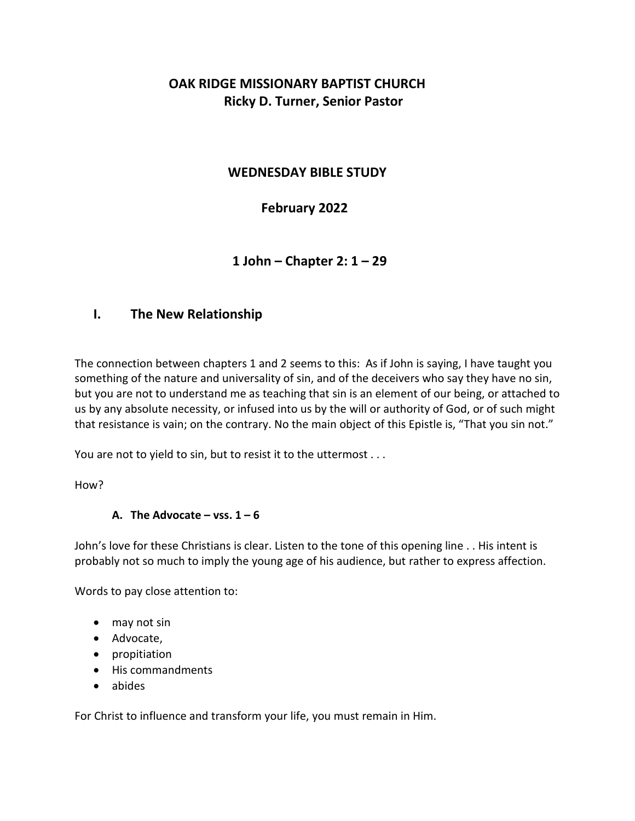# **OAK RIDGE MISSIONARY BAPTIST CHURCH Ricky D. Turner, Senior Pastor**

## **WEDNESDAY BIBLE STUDY**

# **February 2022**

 **1 John – Chapter 2: 1 – 29** 

## **I. The New Relationship**

The connection between chapters 1 and 2 seems to this: As if John is saying, I have taught you something of the nature and universality of sin, and of the deceivers who say they have no sin, but you are not to understand me as teaching that sin is an element of our being, or attached to us by any absolute necessity, or infused into us by the will or authority of God, or of such might that resistance is vain; on the contrary. No the main object of this Epistle is, "That you sin not."

You are not to yield to sin, but to resist it to the uttermost . . .

How?

#### A. The Advocate  $-$  vss.  $1 - 6$

John's love for these Christians is clear. Listen to the tone of this opening line . . His intent is probably not so much to imply the young age of his audience, but rather to express affection.

Words to pay close attention to:

- may not sin
- Advocate,
- propitiation
- His commandments
- abides

For Christ to influence and transform your life, you must remain in Him.